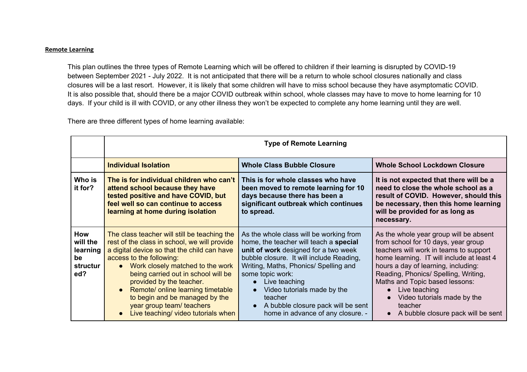## **Remote Learning**

This plan outlines the three types of Remote Learning which will be offered to children if their learning is disrupted by COVID-19 between September 2021 - July 2022. It is not anticipated that there will be a return to whole school closures nationally and class closures will be a last resort. However, it is likely that some children will have to miss school because they have asymptomatic COVID. It is also possible that, should there be a major COVID outbreak within school, whole classes may have to move to home learning for 10 days. If your child is ill with COVID, or any other illness they won't be expected to complete any home learning until they are well.

There are three different types of home learning available:

|                                                      | <b>Type of Remote Learning</b>                                                                                                                                                                                                                                                                                                                                                                                                                                   |                                                                                                                                                                                                                                                                                                                                                                                                                 |                                                                                                                                                                                                                                                                                                                                                                                                     |  |
|------------------------------------------------------|------------------------------------------------------------------------------------------------------------------------------------------------------------------------------------------------------------------------------------------------------------------------------------------------------------------------------------------------------------------------------------------------------------------------------------------------------------------|-----------------------------------------------------------------------------------------------------------------------------------------------------------------------------------------------------------------------------------------------------------------------------------------------------------------------------------------------------------------------------------------------------------------|-----------------------------------------------------------------------------------------------------------------------------------------------------------------------------------------------------------------------------------------------------------------------------------------------------------------------------------------------------------------------------------------------------|--|
|                                                      | <b>Individual Isolation</b>                                                                                                                                                                                                                                                                                                                                                                                                                                      | <b>Whole Class Bubble Closure</b>                                                                                                                                                                                                                                                                                                                                                                               | <b>Whole School Lockdown Closure</b>                                                                                                                                                                                                                                                                                                                                                                |  |
| Who is<br>it for?                                    | The is for individual children who can't<br>attend school because they have<br>tested positive and have COVID, but<br>feel well so can continue to access<br>learning at home during isolation                                                                                                                                                                                                                                                                   | This is for whole classes who have<br>been moved to remote learning for 10<br>days because there has been a<br>significant outbreak which continues<br>to spread.                                                                                                                                                                                                                                               | It is not expected that there will be a<br>need to close the whole school as a<br>result of COVID. However, should this<br>be necessary, then this home learning<br>will be provided for as long as<br>necessary.                                                                                                                                                                                   |  |
| How<br>will the<br>learning<br>be<br>structur<br>ed? | The class teacher will still be teaching the<br>rest of the class in school, we will provide<br>a digital device so that the child can have<br>access to the following:<br>Work closely matched to the work<br>$\bullet$<br>being carried out in school will be<br>provided by the teacher.<br>Remote/ online learning timetable<br>$\bullet$<br>to begin and be managed by the<br>year group team/ teachers<br>Live teaching/ video tutorials when<br>$\bullet$ | As the whole class will be working from<br>home, the teacher will teach a special<br>unit of work designed for a two week<br>bubble closure. It will include Reading,<br>Writing, Maths, Phonics/ Spelling and<br>some topic work:<br>Live teaching<br>$\bullet$<br>Video tutorials made by the<br>$\bullet$<br>teacher<br>A bubble closure pack will be sent<br>$\bullet$<br>home in advance of any closure. - | As the whole year group will be absent<br>from school for 10 days, year group<br>teachers will work in teams to support<br>home learning. IT will include at least 4<br>hours a day of learning, including:<br>Reading, Phonics/ Spelling, Writing,<br>Maths and Topic based lessons:<br>Live teaching<br>$\bullet$<br>Video tutorials made by the<br>teacher<br>A bubble closure pack will be sent |  |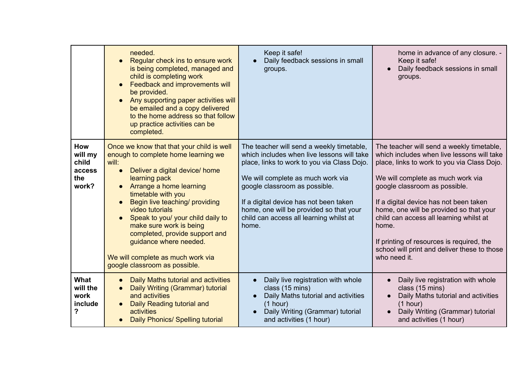|                                                   | needed.<br>Regular check ins to ensure work<br>$\bullet$<br>is being completed, managed and<br>child is completing work<br>Feedback and improvements will<br>be provided.<br>Any supporting paper activities will<br>be emailed and a copy delivered<br>to the home address so that follow<br>up practice activities can be<br>completed.                                                                                                                                                   | Keep it safe!<br>Daily feedback sessions in small<br>groups.                                                                                                                                                                                                                                                                                          | home in advance of any closure. -<br>Keep it safe!<br>Daily feedback sessions in small<br>groups.                                                                                                                                                                                                                                                                                                                                                                  |
|---------------------------------------------------|---------------------------------------------------------------------------------------------------------------------------------------------------------------------------------------------------------------------------------------------------------------------------------------------------------------------------------------------------------------------------------------------------------------------------------------------------------------------------------------------|-------------------------------------------------------------------------------------------------------------------------------------------------------------------------------------------------------------------------------------------------------------------------------------------------------------------------------------------------------|--------------------------------------------------------------------------------------------------------------------------------------------------------------------------------------------------------------------------------------------------------------------------------------------------------------------------------------------------------------------------------------------------------------------------------------------------------------------|
| How<br>will my<br>child<br>access<br>the<br>work? | Once we know that that your child is well<br>enough to complete home learning we<br>will:<br>Deliver a digital device/ home<br>$\bullet$<br>learning pack<br>Arrange a home learning<br>$\bullet$<br>timetable with you<br>Begin live teaching/ providing<br>$\bullet$<br>video tutorials<br>Speak to you/ your child daily to<br>make sure work is being<br>completed, provide support and<br>guidance where needed.<br>We will complete as much work via<br>google classroom as possible. | The teacher will send a weekly timetable,<br>which includes when live lessons will take<br>place, links to work to you via Class Dojo.<br>We will complete as much work via<br>google classroom as possible.<br>If a digital device has not been taken<br>home, one will be provided so that your<br>child can access all learning whilst at<br>home. | The teacher will send a weekly timetable,<br>which includes when live lessons will take<br>place, links to work to you via Class Dojo.<br>We will complete as much work via<br>google classroom as possible.<br>If a digital device has not been taken<br>home, one will be provided so that your<br>child can access all learning whilst at<br>home.<br>If printing of resources is required, the<br>school will print and deliver these to those<br>who need it. |
| What<br>will the<br>work<br>include<br>?          | Daily Maths tutorial and activities<br>$\bullet$<br>Daily Writing (Grammar) tutorial<br>$\bullet$<br>and activities<br>Daily Reading tutorial and<br>activities<br><b>Daily Phonics/ Spelling tutorial</b>                                                                                                                                                                                                                                                                                  | Daily live registration with whole<br>$\bullet$<br>class (15 mins)<br>Daily Maths tutorial and activities<br>(1 hour)<br>Daily Writing (Grammar) tutorial<br>and activities (1 hour)                                                                                                                                                                  | Daily live registration with whole<br>class (15 mins)<br>Daily Maths tutorial and activities<br>(1 hour)<br>Daily Writing (Grammar) tutorial<br>and activities (1 hour)                                                                                                                                                                                                                                                                                            |